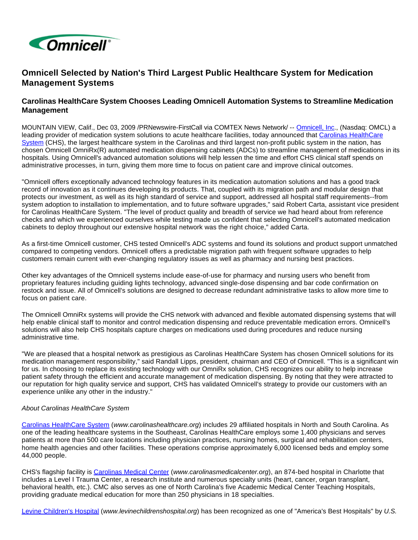

## **Omnicell Selected by Nation's Third Largest Public Healthcare System for Medication Management Systems**

## **Carolinas HealthCare System Chooses Leading Omnicell Automation Systems to Streamline Medication Management**

MOUNTAIN VIEW, Calif., Dec 03, 2009 /PRNewswire-FirstCall via COMTEX News Network/ -- [Omnicell, Inc.](http://www.omnicell.com/), (Nasdaq: OMCL) a leading provider of medication system solutions to acute healthcare facilities, today announced that [Carolinas HealthCare](http://www.carolinashealthcare.org/)  [System](http://www.carolinashealthcare.org/) (CHS), the largest healthcare system in the Carolinas and third largest non-profit public system in the nation, has chosen Omnicell OmniRx(R) automated medication dispensing cabinets (ADCs) to streamline management of medications in its hospitals. Using Omnicell's advanced automation solutions will help lessen the time and effort CHS clinical staff spends on administrative processes, in turn, giving them more time to focus on patient care and improve clinical outcomes.

"Omnicell offers exceptionally advanced technology features in its medication automation solutions and has a good track record of innovation as it continues developing its products. That, coupled with its migration path and modular design that protects our investment, as well as its high standard of service and support, addressed all hospital staff requirements--from system adoption to installation to implementation, and to future software upgrades," said Robert Carta, assistant vice president for Carolinas HealthCare System. "The level of product quality and breadth of service we had heard about from reference checks and which we experienced ourselves while testing made us confident that selecting Omnicell's automated medication cabinets to deploy throughout our extensive hospital network was the right choice," added Carta.

As a first-time Omnicell customer, CHS tested Omnicell's ADC systems and found its solutions and product support unmatched compared to competing vendors. Omnicell offers a predictable migration path with frequent software upgrades to help customers remain current with ever-changing regulatory issues as well as pharmacy and nursing best practices.

Other key advantages of the Omnicell systems include ease-of-use for pharmacy and nursing users who benefit from proprietary features including guiding lights technology, advanced single-dose dispensing and bar code confirmation on restock and issue. All of Omnicell's solutions are designed to decrease redundant administrative tasks to allow more time to focus on patient care.

The Omnicell OmniRx systems will provide the CHS network with advanced and flexible automated dispensing systems that will help enable clinical staff to monitor and control medication dispensing and reduce preventable medication errors. Omnicell's solutions will also help CHS hospitals capture charges on medications used during procedures and reduce nursing administrative time.

"We are pleased that a hospital network as prestigious as Carolinas HealthCare System has chosen Omnicell solutions for its medication management responsibility," said Randall Lipps, president, chairman and CEO of Omnicell. "This is a significant win for us. In choosing to replace its existing technology with our OmniRx solution, CHS recognizes our ability to help increase patient safety through the efficient and accurate management of medication dispensing. By noting that they were attracted to our reputation for high quality service and support, CHS has validated Omnicell's strategy to provide our customers with an experience unlike any other in the industry."

## About Carolinas HealthCare System

[Carolinas HealthCare System](http://www.carolinashealthcare.org/) (www.carolinashealthcare.org) includes 29 affiliated hospitals in North and South Carolina. As one of the leading healthcare systems in the Southeast, Carolinas HealthCare employs some 1,400 physicians and serves patients at more than 500 care locations including physician practices, nursing homes, surgical and rehabilitation centers, home health agencies and other facilities. These operations comprise approximately 6,000 licensed beds and employ some 44,000 people.

CHS's flagship facility is [Carolinas Medical Center](http://www.carolinasmedicalcenter.org/) (www.carolinasmedicalcenter.org), an 874-bed hospital in Charlotte that includes a Level I Trauma Center, a research institute and numerous specialty units (heart, cancer, organ transplant, behavioral health, etc.). CMC also serves as one of North Carolina's five Academic Medical Center Teaching Hospitals, providing graduate medical education for more than 250 physicians in 18 specialties.

[Levine Children's Hospital](http://www.levinechildrenshospital.org/) (www.levinechildrenshospital.org) has been recognized as one of "America's Best Hospitals" by U.S.